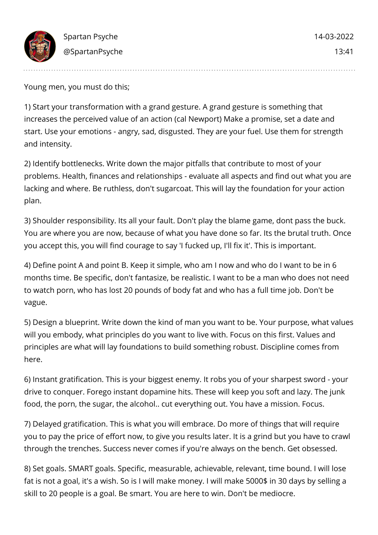

Young men, you must do this;

1) Start your transformation with a grand gesture. A grand gesture is something that increases the perceived value of an action (cal Newport) Make a promise, set a date and start. Use your emotions - angry, sad, disgusted. They are your fuel. Use them for strength and intensity.

2) Identify bottlenecks. Write down the major pitfalls that contribute to most of your problems. Health, finances and relationships - evaluate all aspects and find out what you are lacking and where. Be ruthless, don't sugarcoat. This will lay the foundation for your action plan.

3) Shoulder responsibility. Its all your fault. Don't play the blame game, dont pass the buck. You are where you are now, because of what you have done so far. Its the brutal truth. Once you accept this, you will find courage to say 'I fucked up, I'll fix it'. This is important.

4) Define point A and point B. Keep it simple, who am I now and who do I want to be in 6 months time. Be specific, don't fantasize, be realistic. I want to be a man who does not need to watch porn, who has lost 20 pounds of body fat and who has a full time job. Don't be vague.

5) Design a blueprint. Write down the kind of man you want to be. Your purpose, what values will you embody, what principles do you want to live with. Focus on this first. Values and principles are what will lay foundations to build something robust. Discipline comes from here.

6) Instant gratification. This is your biggest enemy. It robs you of your sharpest sword - your drive to conquer. Forego instant dopamine hits. These will keep you soft and lazy. The junk food, the porn, the sugar, the alcohol.. cut everything out. You have a mission. Focus.

7) Delayed gratification. This is what you will embrace. Do more of things that will require you to pay the price of effort now, to give you results later. It is a grind but you have to crawl through the trenches. Success never comes if you're always on the bench. Get obsessed.

8) Set goals. SMART goals. Specific, measurable, achievable, relevant, time bound. I will lose fat is not a goal, it's a wish. So is I will make money. I will make 5000\$ in 30 days by selling a skill to 20 people is a goal. Be smart. You are here to win. Don't be mediocre.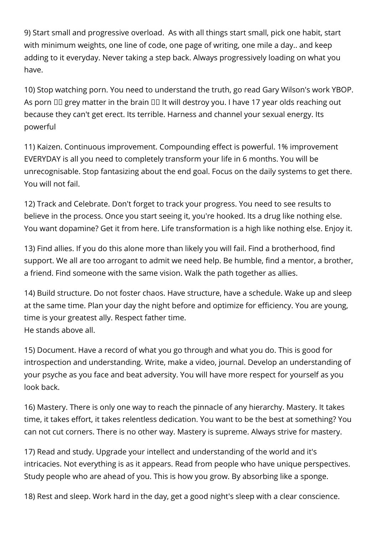9) Start small and progressive overload. As with all things start small, pick one habit, start with minimum weights, one line of code, one page of writing, one mile a day.. and keep adding to it everyday. Never taking a step back. Always progressively loading on what you have.

10) Stop watching porn. You need to understand the truth, go read Gary Wilson's work YBOP. As porn  $III$  grey matter in the brain  $III$  It will destroy you. I have 17 year olds reaching out because they can't get erect. Its terrible. Harness and channel your sexual energy. Its powerful

11) Kaizen. Continuous improvement. Compounding effect is powerful. 1% improvement EVERYDAY is all you need to completely transform your life in 6 months. You will be unrecognisable. Stop fantasizing about the end goal. Focus on the daily systems to get there. You will not fail.

12) Track and Celebrate. Don't forget to track your progress. You need to see results to believe in the process. Once you start seeing it, you're hooked. Its a drug like nothing else. You want dopamine? Get it from here. Life transformation is a high like nothing else. Enjoy it.

13) Find allies. If you do this alone more than likely you will fail. Find a brotherhood, find support. We all are too arrogant to admit we need help. Be humble, find a mentor, a brother, a friend. Find someone with the same vision. Walk the path together as allies.

14) Build structure. Do not foster chaos. Have structure, have a schedule. Wake up and sleep at the same time. Plan your day the night before and optimize for efficiency. You are young, time is your greatest ally. Respect father time. He stands above all.

15) Document. Have a record of what you go through and what you do. This is good for introspection and understanding. Write, make a video, journal. Develop an understanding of your psyche as you face and beat adversity. You will have more respect for yourself as you look back.

16) Mastery. There is only one way to reach the pinnacle of any hierarchy. Mastery. It takes time, it takes effort, it takes relentless dedication. You want to be the best at something? You can not cut corners. There is no other way. Mastery is supreme. Always strive for mastery.

17) Read and study. Upgrade your intellect and understanding of the world and it's intricacies. Not everything is as it appears. Read from people who have unique perspectives. Study people who are ahead of you. This is how you grow. By absorbing like a sponge.

18) Rest and sleep. Work hard in the day, get a good night's sleep with a clear conscience.